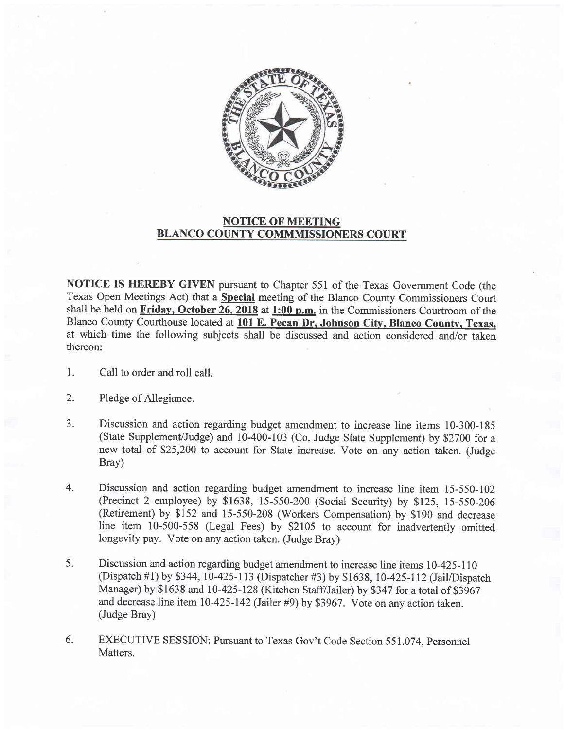

## NOTICE OF MEETING BLANCO COUNTY COMMMISSIONERS COURT

NOTICE IS HEREBY GIVEN pursuant to Chapter 551 of the Texas Government Code (the Texas Open Meetings Act) that a Special meeting of the Blanco County Commissioners Court shall be held on Friday, October 26, 2018 at 1:00 p.m. in the Commissioners Courtroom of the Blanco County Courthouse located at 101 E. Pecan Dr, Johnson Citv, Blanco Countv. Texas, at which time the following subjects shall be discussed and action considered and/or taken thereon:

- 1. Call to order and roll call.
- 2. Pledge of Allegiance.
- a J. Discussion and action regarding budget amendment to increase line items 10-300-185 (State Supplement/Judge) and 10-400-103 (Co. Judge State Supplement) by \$2700 for <sup>a</sup> new total of \$25,200 to account for State increase. Vote on any action taken. (Judge Bray)
- Discussion and action regarding budget amendment to increase line item 15-550-102 (Precinct 2 employee) by \$1638, 15-550-200 (Social Security) by \$125, 15-550-206 (Retirement) by \$152 and 15-550-208 (Workers Compensation) by \$190 and decrease line item 10-500-558 (Legal Fees) by \$2105 to account for inadvertently omitted longevity pay. Vote on any action taken. (Judge Bray) 4.
- Discussion and action regarding budget amendment to increase line items 10-425-110 (Dispatch #1) by \$344, 10-425-113 (Dispatcher #3) by \$1638, 10-425-112 (Jail/Dispatch Manager) by \$1638 and 10-425-128 (Kitchen Staff/Jailer) by \$347 for a total of \$3967 and decrease line item 10-425-142 (Jailer #9) by \$3967. Vote on any action taken. (Judge Bray) 5.
- EXECUTIVE SESSION: Pursuant to Texas Gov't Code Section 551.074. Personnel Matters. 6.